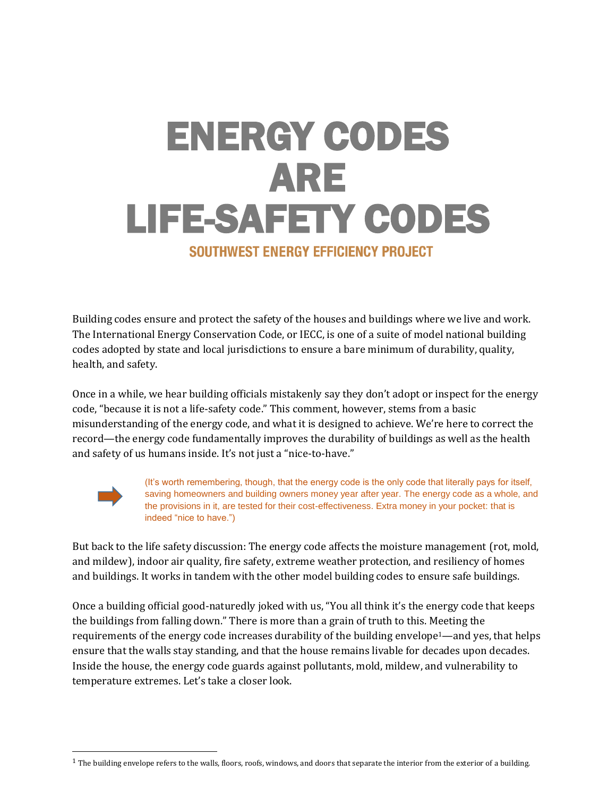# ENERGY CODES ARE LIFE-SAFETY CODES SOUTHWEST ENERGY EFFICIENCY PROJECT

Building codes ensure and protect the safety of the houses and buildings where we live and work. The International Energy Conservation Code, or IECC, is one of a suite of model national building codes adopted by state and local jurisdictions to ensure a bare minimum of durability, quality, health, and safety.

Once in a while, we hear building officials mistakenly say they don't adopt or inspect for the energy code, "because it is not a life-safety code." This comment, however, stems from a basic misunderstanding of the energy code, and what it is designed to achieve. We're here to correct the record—the energy code fundamentally improves the durability of buildings as well as the health and safety of us humans inside. It's not just a "nice-to-have."



 $\overline{a}$ 

(It's worth remembering, though, that the energy code is the only code that literally pays for itself, saving homeowners and building owners money year after year. The energy code as a whole, and the provisions in it, are tested for their cost-effectiveness. Extra money in your pocket: that is indeed "nice to have.")

But back to the life safety discussion: The energy code affects the moisture management (rot, mold, and mildew), indoor air quality, fire safety, extreme weather protection, and resiliency of homes and buildings. It works in tandem with the other model building codes to ensure safe buildings.

Once a building official good-naturedly joked with us, "You all think it's the energy code that keeps the buildings from falling down." There is more than a grain of truth to this. Meeting the requirements of the energy code increases durability of the building envelope1—and yes, that helps ensure that the walls stay standing, and that the house remains livable for decades upon decades. Inside the house, the energy code guards against pollutants, mold, mildew, and vulnerability to temperature extremes. Let's take a closer look.

 $1$  The building envelope refers to the walls, floors, roofs, windows, and doors that separate the interior from the exterior of a building.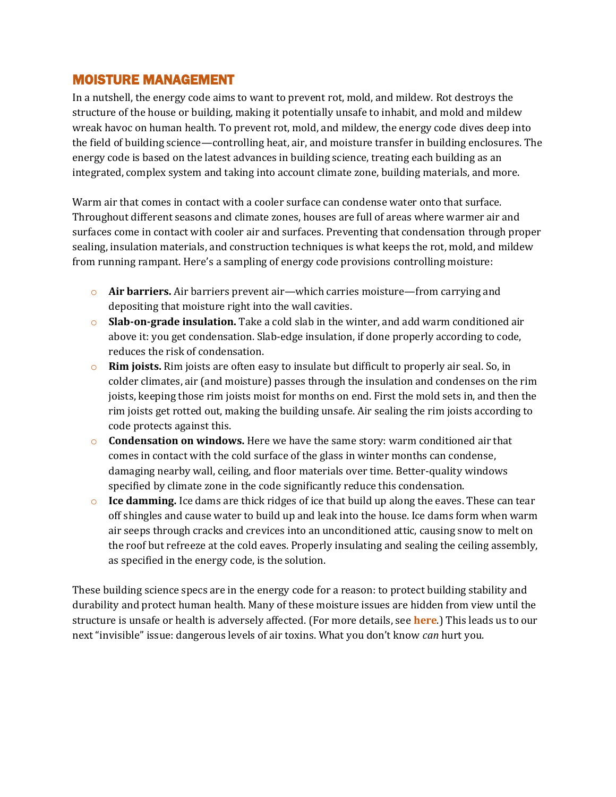## MOISTURE MANAGEMENT

In a nutshell, the energy code aims to want to prevent rot, mold, and mildew. Rot destroys the structure of the house or building, making it potentially unsafe to inhabit, and mold and mildew wreak havoc on human health. To prevent rot, mold, and mildew, the energy code dives deep into the field of building science—controlling heat, air, and moisture transfer in building enclosures. The energy code is based on the latest advances in building science, treating each building as an integrated, complex system and taking into account climate zone, building materials, and more.

Warm air that comes in contact with a cooler surface can condense water onto that surface. Throughout different seasons and climate zones, houses are full of areas where warmer air and surfaces come in contact with cooler air and surfaces. Preventing that condensation through proper sealing, insulation materials, and construction techniques is what keeps the rot, mold, and mildew from running rampant. Here's a sampling of energy code provisions controlling moisture:

- o **Air barriers.** Air barriers prevent air—which carries moisture—from carrying and depositing that moisture right into the wall cavities.
- o **Slab-on-grade insulation.** Take a cold slab in the winter, and add warm conditioned air above it: you get condensation. Slab-edge insulation, if done properly according to code, reduces the risk of condensation.
- o **Rim joists.** Rim joists are often easy to insulate but difficult to properly air seal. So, in colder climates, air (and moisture) passes through the insulation and condenses on the rim joists, keeping those rim joists moist for months on end. First the mold sets in, and then the rim joists get rotted out, making the building unsafe. Air sealing the rim joists according to code protects against this.
- o **Condensation on windows.** Here we have the same story: warm conditioned air that comes in contact with the cold surface of the glass in winter months can condense, damaging nearby wall, ceiling, and floor materials over time. Better-quality windows specified by climate zone in the code significantly reduce this condensation.
- o **Ice damming.** Ice dams are thick ridges of ice that build up along the eaves. These can tear off shingles and cause water to build up and leak into the house. Ice dams form when warm air seeps through cracks and crevices into an unconditioned attic, causing snow to melt on the roof but refreeze at the cold eaves. Properly insulating and sealing the ceiling assembly, as specified in the energy code, is the solution.

These building science specs are in the energy code for a reason: to protect building stability and durability and protect human health. Many of these moisture issues are hidden from view until the structure is unsafe or health is adversely affected. (For more details, see **[here](http://www.imt.org/resources/detail/building-energy-codes-creating-safe-resilient-and-energy-efficient-homes)**.) This leads us to our next "invisible" issue: dangerous levels of air toxins. What you don't know *can* hurt you.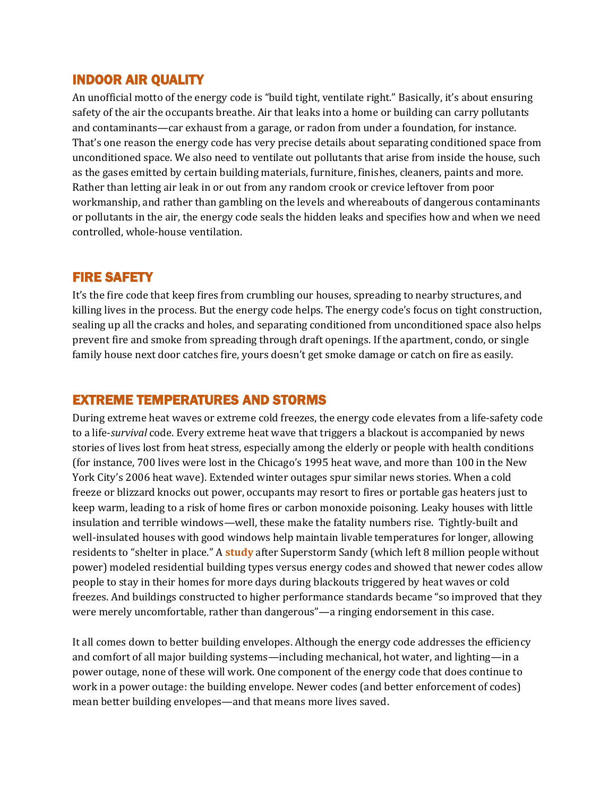#### INDOOR AIR QUALITY

An unofficial motto of the energy code is "build tight, ventilate right." Basically, it's about ensuring safety of the air the occupants breathe. Air that leaks into a home or building can carry pollutants and contaminants—car exhaust from a garage, or radon from under a foundation, for instance. That's one reason the energy code has very precise details about separating conditioned space from unconditioned space. We also need to ventilate out pollutants that arise from inside the house, such as the gases emitted by certain building materials, furniture, finishes, cleaners, paints and more. Rather than letting air leak in or out from any random crook or crevice leftover from poor workmanship, and rather than gambling on the levels and whereabouts of dangerous contaminants or pollutants in the air, the energy code seals the hidden leaks and specifies how and when we need controlled, whole-house ventilation.

## FIRE SAFETY

It's the fire code that keep fires from crumbling our houses, spreading to nearby structures, and killing lives in the process. But the energy code helps. The energy code's focus on tight construction, sealing up all the cracks and holes, and separating conditioned from unconditioned space also helps prevent fire and smoke from spreading through draft openings. If the apartment, condo, or single family house next door catches fire, yours doesn't get smoke damage or catch on fire as easily.

#### EXTREME TEMPERATURES AND STORMS

During extreme heat waves or extreme cold freezes, the energy code elevates from a life-safety code to a life-*survival* code. Every extreme heat wave that triggers a blackout is accompanied by news stories of lives lost from heat stress, especially among the elderly or people with health conditions (for instance, 700 lives were lost in the Chicago's 1995 heat wave, and more than 100 in the New York City's 2006 heat wave). Extended winter outages spur similar news stories. When a cold freeze or blizzard knocks out power, occupants may resort to fires or portable gas heaters just to keep warm, leading to a risk of home fires or carbon monoxide poisoning. Leaky houses with little insulation and terrible windows—well, these make the fatality numbers rise. Tightly-built and well-insulated houses with good windows help maintain livable temperatures for longer, allowing residents to "shelter in place." A **[study](http://www.aceee.org/files/proceedings/2014/data/papers/1-439.pdf)** after Superstorm Sandy (which left 8 million people without power) modeled residential building types versus energy codes and showed that newer codes allow people to stay in their homes for more days during blackouts triggered by heat waves or cold freezes. And buildings constructed to higher performance standards became "so improved that they were merely uncomfortable, rather than dangerous"—a ringing endorsement in this case.

It all comes down to better building envelopes. Although the energy code addresses the efficiency and comfort of all major building systems—including mechanical, hot water, and lighting—in a power outage, none of these will work. One component of the energy code that does continue to work in a power outage: the building envelope. Newer codes (and better enforcement of codes) mean better building envelopes—and that means more lives saved.